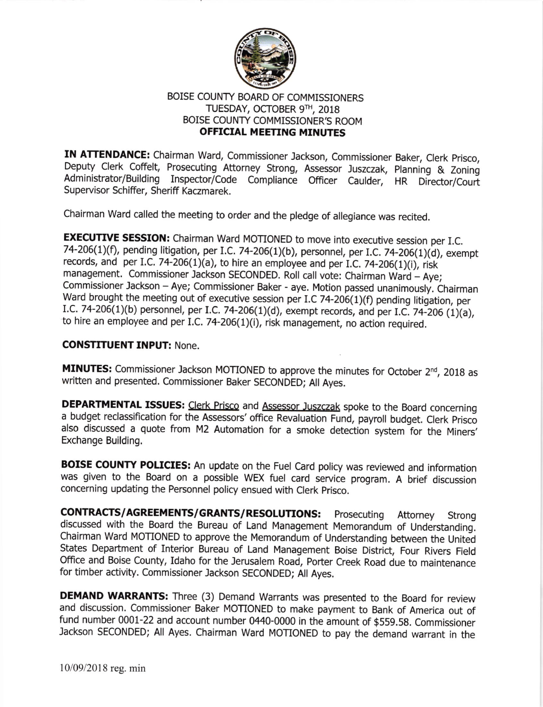

### BOISE COUNTY BOARD OF COMMISSIONERS TUESDAY, OCTOBER 9TH, 2018 BOISE COUNTY COMMISSIONER'S ROOM OFFICIAL MEETING MINUTES

rN ATTENDANCE: chairman ward, commissioner Jackson, commissioner Baker, clerk prisco, Deputy Clerk Coffelt, Prosecuting Attorney Strong, Assessor Juszczak, Planning & Zoning Administrator/Building Inspector/Code Compliance Officer Caulder, HR Director/Court Supervisor Schiffer, Sheriff Kaczmarek.

chairman ward called the meeting to order and the pledge of allegiance was recited.

**EXECUTIVE SESSION:** Chairman Ward MOTIONED to move into executive session per I.C. 74-206(1)(f), pending litigation, per I.C. 74-206(1)(b), personnel, per I.C. 74-206(1)(d), exempt records, and per I.C. 74-206(1)(a), to hire an employee and per I.C. 74-206(1)(i), risk management. Commissioner Jackson SECONDED. Roll call vote: Chairman Ward - Aye; Commissioner Jackson - Aye; Commissioner Baker - aye. Motion passed unanimously. Chairman Ward brought the meeting out of executive session per I.C 74-206(1)(f) pending litigation, per I.C. 74-206(1)(b) personnel, per I.C. 74-206(1)(d), exempt records, and per I.C. 74-206 (1)(a), to hire an employee and per I.C. 74-206(1)(i), risk management, no action required.

#### CONSTITUENT INPUT: None.

MINUTES: Commissioner Jackson MOTIONED to approve the minutes for October 2<sup>nd</sup>, 2018 as written and presented. Commissioner Baker SECONDED; All Ayes.

DEPARTMENTAL ISSUES: Clerk Prisco and Assessor Juszczak spoke to the Board concerning a budget reclassification for the Assessors' office Revaluation Fund, payroll budget. Clerk prisco also discussed a quote from M2 Automation for a smoke detection system for the Miners' Exchange Building.

**BOISE COUNTY POLICIES:** An update on the Fuel Card policy was reviewed and information was given to the Board on a possible wEX fuel card service program. A brief discussion concerning updating the Personnel policy ensued with Clerk prisco.

CONTRACTS/AGREEMENTS/GRANTS/RESOLUTIONS: Prosecuting Attorney Strong discussed with the Board the Bureau of Land Management Memorandum of Understanding. Chairman Ward MOTIONED to approve the Memorandum of Understanding between the United States Department of Interior Bureau of Land Management Boise District, Four Rivers Field office and Boise county, Idaho for the Jerusalem Road, porter creek Road due to maintenance for timber activity. Commissioner Jackson SECONDED; All Ayes.

**DEMAND WARRANTS:** Three (3) Demand Warrants was presented to the Board for review and discussion. commissioner Baker MoTIoNED to make payment to Bank of America out of fund number 0001-22 and account number 0440-0000 in the amount of \$559.58. Commissioner Jackson SECoNDED; All Ayes. chairman ward MoTIoNED to pay the demand warrant in the